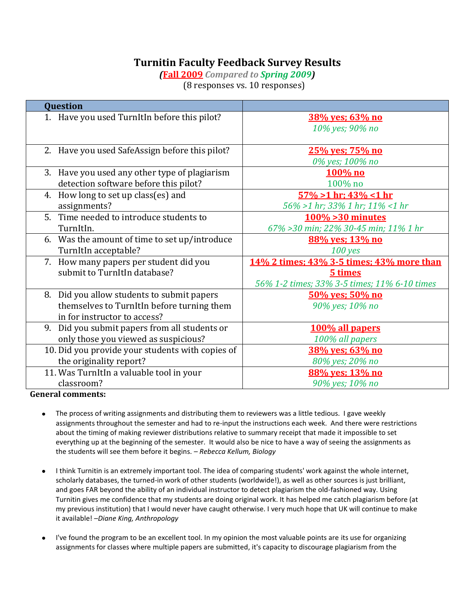## **Turnitin Faculty Feedback Survey Results**

*(***Fall 2009** *Compared to Spring 2009)* (8 responses vs. 10 responses)

| Question                                         |                                              |  |  |  |  |  |
|--------------------------------------------------|----------------------------------------------|--|--|--|--|--|
| 1. Have you used TurnItIn before this pilot?     | <u>38% yes; 63% no</u>                       |  |  |  |  |  |
|                                                  | 10% yes; 90% no                              |  |  |  |  |  |
|                                                  |                                              |  |  |  |  |  |
| 2. Have you used SafeAssign before this pilot?   | 25% yes; 75% no                              |  |  |  |  |  |
|                                                  | 0% yes; 100% no                              |  |  |  |  |  |
| 3. Have you used any other type of plagiarism    | 100% no                                      |  |  |  |  |  |
| detection software before this pilot?            | 100% no                                      |  |  |  |  |  |
| How long to set up class(es) and<br>4.           | $57\% > 1$ hr; $43\% < 1$ hr                 |  |  |  |  |  |
| assignments?                                     | 56% >1 hr; 33% 1 hr; 11% <1 hr               |  |  |  |  |  |
| 5. Time needed to introduce students to          | $100\%$ > 30 minutes                         |  |  |  |  |  |
| TurnItIn.                                        | 67% > 30 min; 22% 30-45 min; 11% 1 hr        |  |  |  |  |  |
| 6. Was the amount of time to set up/introduce    | 88% ves: 13% no                              |  |  |  |  |  |
| TurnItIn acceptable?                             | $100$ yes                                    |  |  |  |  |  |
| 7. How many papers per student did you           | 14% 2 times: 43% 3-5 times: 43% more than    |  |  |  |  |  |
| submit to TurnItIn database?                     | 5 times                                      |  |  |  |  |  |
|                                                  | 56% 1-2 times; 33% 3-5 times; 11% 6-10 times |  |  |  |  |  |
| 8. Did you allow students to submit papers       | 50% ves; 50% no                              |  |  |  |  |  |
| themselves to TurnItIn before turning them       | 90% yes; 10% no                              |  |  |  |  |  |
| in for instructor to access?                     |                                              |  |  |  |  |  |
| Did you submit papers from all students or<br>9. | 100% all papers                              |  |  |  |  |  |
| only those you viewed as suspicious?             | 100% all papers                              |  |  |  |  |  |
| 10. Did you provide your students with copies of | 38% yes; 63% no                              |  |  |  |  |  |
| the originality report?                          | 80% yes; 20% no                              |  |  |  |  |  |
| 11. Was TurnItIn a valuable tool in your         | 88% yes; 13% no                              |  |  |  |  |  |
| classroom?                                       | 90% yes; 10% no                              |  |  |  |  |  |

**General comments:**

- $\bullet$ The process of writing assignments and distributing them to reviewers was a little tedious. I gave weekly assignments throughout the semester and had to re-input the instructions each week. And there were restrictions about the timing of making reviewer distributions relative to summary receipt that made it impossible to set everything up at the beginning of the semester. It would also be nice to have a way of seeing the assignments as the students will see them before it begins. – *Rebecca Kellum, Biology*
- I think Turnitin is an extremely important tool. The idea of comparing students' work against the whole internet,  $\bullet$ scholarly databases, the turned-in work of other students (worldwide!), as well as other sources is just brilliant, and goes FAR beyond the ability of an individual instructor to detect plagiarism the old-fashioned way. Using Turnitin gives me confidence that my students are doing original work. It has helped me catch plagiarism before (at my previous institution) that I would never have caught otherwise. I very much hope that UK will continue to make it available! –*Diane King, Anthropology*
- I've found the program to be an excellent tool. In my opinion the most valuable points are its use for organizing assignments for classes where multiple papers are submitted, it's capacity to discourage plagiarism from the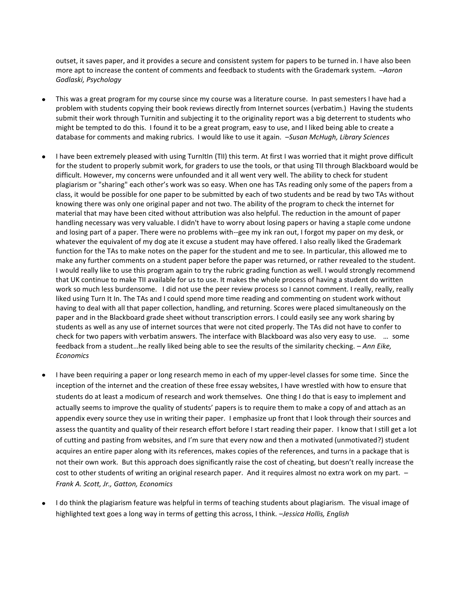outset, it saves paper, and it provides a secure and consistent system for papers to be turned in. I have also been more apt to increase the content of comments and feedback to students with the Grademark system. –*Aaron Godlaski, Psychology*

- This was a great program for my course since my course was a literature course. In past semesters I have had a problem with students copying their book reviews directly from Internet sources (verbatim.) Having the students submit their work through Turnitin and subjecting it to the originality report was a big deterrent to students who might be tempted to do this. I found it to be a great program, easy to use, and I liked being able to create a database for comments and making rubrics. I would like to use it again. –*Susan McHugh, Library Sciences*
- I have been extremely pleased with using TurnItIn (TII) this term. At first I was worried that it might prove difficult for the student to properly submit work, for graders to use the tools, or that using TII through Blackboard would be difficult. However, my concerns were unfounded and it all went very well. The ability to check for student plagiarism or "sharing" each other's work was so easy. When one has TAs reading only some of the papers from a class, it would be possible for one paper to be submitted by each of two students and be read by two TAs without knowing there was only one original paper and not two. The ability of the program to check the internet for material that may have been cited without attribution was also helpful. The reduction in the amount of paper handling necessary was very valuable. I didn't have to worry about losing papers or having a staple come undone and losing part of a paper. There were no problems with--gee my ink ran out, I forgot my paper on my desk, or whatever the equivalent of my dog ate it excuse a student may have offered. I also really liked the Grademark function for the TAs to make notes on the paper for the student and me to see. In particular, this allowed me to make any further comments on a student paper before the paper was returned, or rather revealed to the student. I would really like to use this program again to try the rubric grading function as well. I would strongly recommend that UK continue to make TII available for us to use. It makes the whole process of having a student do written work so much less burdensome. I did not use the peer review process so I cannot comment. I really, really, really liked using Turn It In. The TAs and I could spend more time reading and commenting on student work without having to deal with all that paper collection, handling, and returning. Scores were placed simultaneously on the paper and in the Blackboard grade sheet without transcription errors. I could easily see any work sharing by students as well as any use of internet sources that were not cited properly. The TAs did not have to confer to check for two papers with verbatim answers. The interface with Blackboard was also very easy to use. … some feedback from a student…he really liked being able to see the results of the similarity checking. – *Ann Eike, Economics*
- I have been requiring a paper or long research memo in each of my upper-level classes for some time. Since the inception of the internet and the creation of these free essay websites, I have wrestled with how to ensure that students do at least a modicum of research and work themselves. One thing I do that is easy to implement and actually seems to improve the quality of students' papers is to require them to make a copy of and attach as an appendix every source they use in writing their paper. I emphasize up front that I look through their sources and assess the quantity and quality of their research effort before I start reading their paper. I know that I still get a lot of cutting and pasting from websites, and I'm sure that every now and then a motivated (unmotivated?) student acquires an entire paper along with its references, makes copies of the references, and turns in a package that is not their own work. But this approach does significantly raise the cost of cheating, but doesn't really increase the cost to other students of writing an original research paper. And it requires almost no extra work on my part. – *Frank A. Scott, Jr., Gatton, Economics*
- I do think the plagiarism feature was helpful in terms of teaching students about plagiarism. The visual image of highlighted text goes a long way in terms of getting this across, I think. –*Jessica Hollis, English*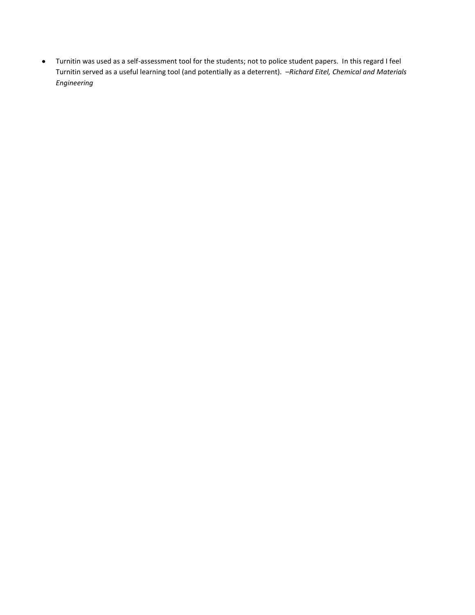Turnitin was used as a self-assessment tool for the students; not to police student papers. In this regard I feel  $\bullet$ Turnitin served as a useful learning tool (and potentially as a deterrent). –*Richard Eitel, Chemical and Materials Engineering*